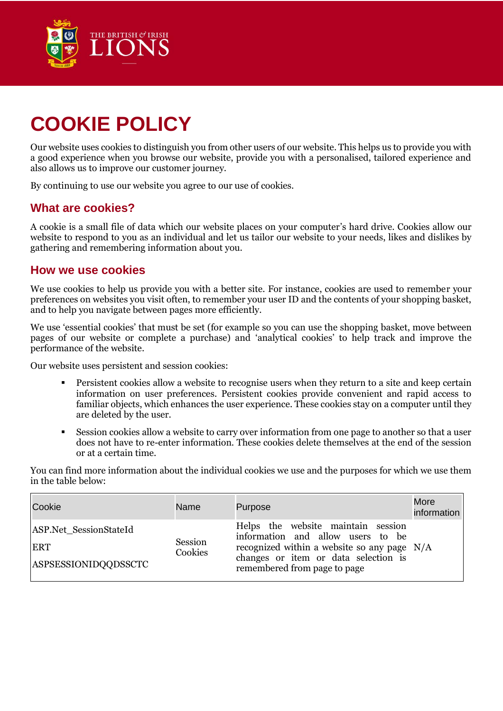

## **COOKIE POLICY**

Our website uses cookies to distinguish you from other users of our website. This helps us to provide you with a good experience when you browse our website, provide you with a personalised, tailored experience and also allows us to improve our customer journey.

By continuing to use our website you agree to our use of cookies.

## **What are cookies?**

A cookie is a small file of data which our website places on your computer's hard drive. Cookies allow our website to respond to you as an individual and let us tailor our website to your needs, likes and dislikes by gathering and remembering information about you.

## **How we use cookies**

We use cookies to help us provide you with a better site. For instance, cookies are used to remember your preferences on websites you visit often, to remember your user ID and the contents of your shopping basket, and to help you navigate between pages more efficiently.

We use 'essential cookies' that must be set (for example so you can use the shopping basket, move between pages of our website or complete a purchase) and 'analytical cookies' to help track and improve the performance of the website.

Our website uses persistent and session cookies:

- Persistent cookies allow a website to recognise users when they return to a site and keep certain information on user preferences. Persistent cookies provide convenient and rapid access to familiar objects, which enhances the user experience. These cookies stay on a computer until they are deleted by the user.
- Session cookies allow a website to carry over information from one page to another so that a user does not have to re-enter information. These cookies delete themselves at the end of the session or at a certain time.

You can find more information about the individual cookies we use and the purposes for which we use them in the table below:

| Cookie                                                       | <b>Name</b>        | Purpose                                                                                                                                                                                          | More<br>information |
|--------------------------------------------------------------|--------------------|--------------------------------------------------------------------------------------------------------------------------------------------------------------------------------------------------|---------------------|
| ASP.Net SessionStateId<br><b>ERT</b><br>ASPSESSIONIDQQDSSCTC | Session<br>Cookies | Helps the website maintain session<br>information and allow users to be<br>recognized within a website so any page $N/A$<br>changes or item or data selection is<br>remembered from page to page |                     |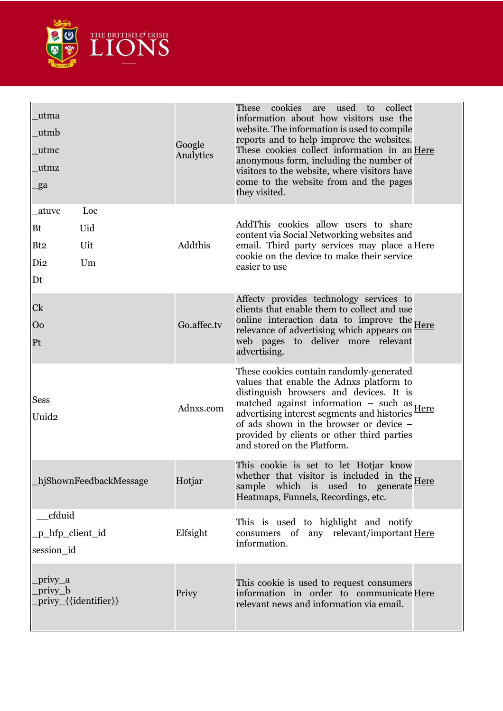

| _utma<br>utmb<br>_utmc<br>utmz<br>_ga                                              | Google<br>Analytics | cookies<br>These<br>used<br>collect<br>are<br>to<br>information about how visitors use the<br>website. The information is used to compile<br>reports and to help improve the websites.<br>These cookies collect information in an Here<br>anonymous form, including the number of<br>visitors to the website, where visitors have<br>come to the website from and the pages<br>they visited. |
|------------------------------------------------------------------------------------|---------------------|----------------------------------------------------------------------------------------------------------------------------------------------------------------------------------------------------------------------------------------------------------------------------------------------------------------------------------------------------------------------------------------------|
| Loc<br>atuvc<br>Uid<br>Bt<br>Uit<br>Bt <sub>2</sub><br>Di <sub>2</sub><br>Um<br>Dt | Addthis             | AddThis cookies allow users to share<br>content via Social Networking websites and<br>email. Third party services may place a <u>Here</u><br>cookie on the device to make their service<br>easier to use                                                                                                                                                                                     |
| Ck<br>Oo<br>Pt                                                                     | Go.affec.tv         | Affecty provides technology services to<br>clients that enable them to collect and use<br>online interaction data to improve the Here<br>relevance of advertising which appears on<br>web pages to deliver more relevant<br>advertising.                                                                                                                                                     |
| <b>Sess</b><br>Uuid2                                                               | Adnxs.com           | These cookies contain randomly-generated<br>values that enable the Adnxs platform to<br>distinguish browsers and devices. It is<br>matched against information $-$ such as $Here$<br>advertising interest segments and histories<br>of ads shown in the browser or device –<br>provided by clients or other third parties<br>and stored on the Platform.                                     |
| hjShownFeedbackMessage                                                             | Hotjar              | This cookie is set to let Hotjar know<br>whether that visitor is included in the,<br>sample which is used to generate Here<br>Heatmaps, Funnels, Recordings, etc.                                                                                                                                                                                                                            |
| cfduid<br>p_hfp_client_id<br>session id                                            | Elfsight            | This is used to highlight and notify<br>consumers of any relevant/important Here<br>information.                                                                                                                                                                                                                                                                                             |
| _privy_a<br>privy_b<br>privy_{{identifier}}                                        | Privy               | This cookie is used to request consumers<br>information in order to communicate Here<br>relevant news and information via email.                                                                                                                                                                                                                                                             |